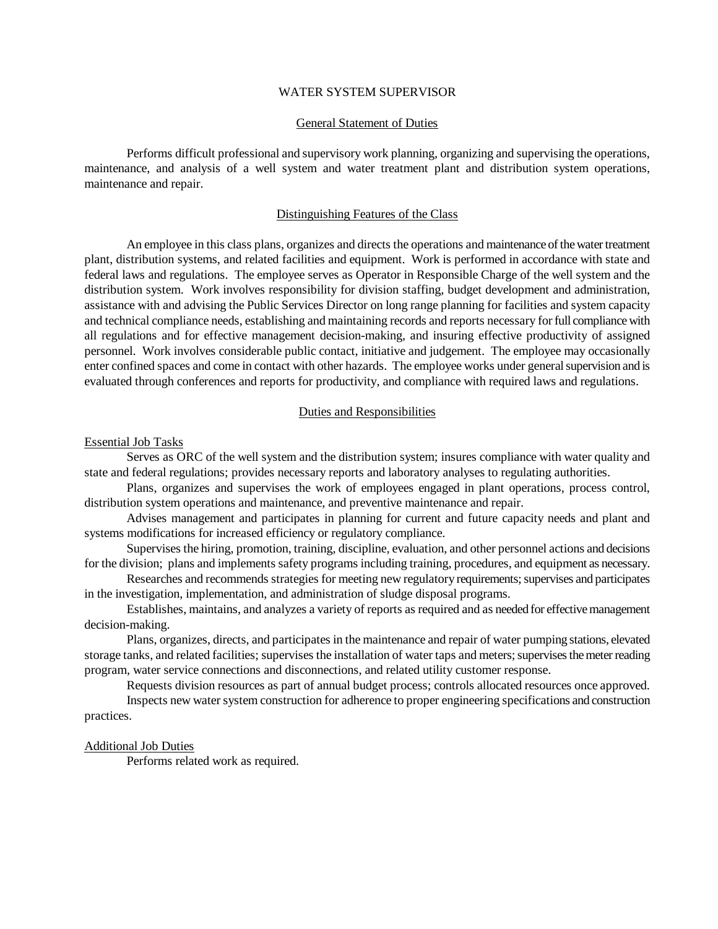# WATER SYSTEM SUPERVISOR

## General Statement of Duties

Performs difficult professional and supervisory work planning, organizing and supervising the operations, maintenance, and analysis of a well system and water treatment plant and distribution system operations, maintenance and repair.

### Distinguishing Features of the Class

An employee in this class plans, organizes and directs the operations and maintenance of the water treatment plant, distribution systems, and related facilities and equipment. Work is performed in accordance with state and federal laws and regulations. The employee serves as Operator in Responsible Charge of the well system and the distribution system. Work involves responsibility for division staffing, budget development and administration, assistance with and advising the Public Services Director on long range planning for facilities and system capacity and technical compliance needs, establishing and maintaining records and reports necessary for full compliance with all regulations and for effective management decision-making, and insuring effective productivity of assigned personnel. Work involves considerable public contact, initiative and judgement. The employee may occasionally enter confined spaces and come in contact with other hazards. The employee works under general supervision and is evaluated through conferences and reports for productivity, and compliance with required laws and regulations.

### Duties and Responsibilities

#### Essential Job Tasks

Serves as ORC of the well system and the distribution system; insures compliance with water quality and state and federal regulations; provides necessary reports and laboratory analyses to regulating authorities.

Plans, organizes and supervises the work of employees engaged in plant operations, process control, distribution system operations and maintenance, and preventive maintenance and repair.

Advises management and participates in planning for current and future capacity needs and plant and systems modifications for increased efficiency or regulatory compliance.

Supervises the hiring, promotion, training, discipline, evaluation, and other personnel actions and decisions for the division; plans and implements safety programs including training, procedures, and equipment as necessary.

Researches and recommends strategies for meeting new regulatory requirements; supervises and participates in the investigation, implementation, and administration of sludge disposal programs.

Establishes, maintains, and analyzes a variety of reports as required and as needed for effective management decision-making.

Plans, organizes, directs, and participates in the maintenance and repair of water pumping stations, elevated storage tanks, and related facilities; supervises the installation of water taps and meters; supervises the meter reading program, water service connections and disconnections, and related utility customer response.

Requests division resources as part of annual budget process; controls allocated resources once approved.

Inspects new water system construction for adherence to proper engineering specifications and construction practices.

#### Additional Job Duties

Performs related work as required.